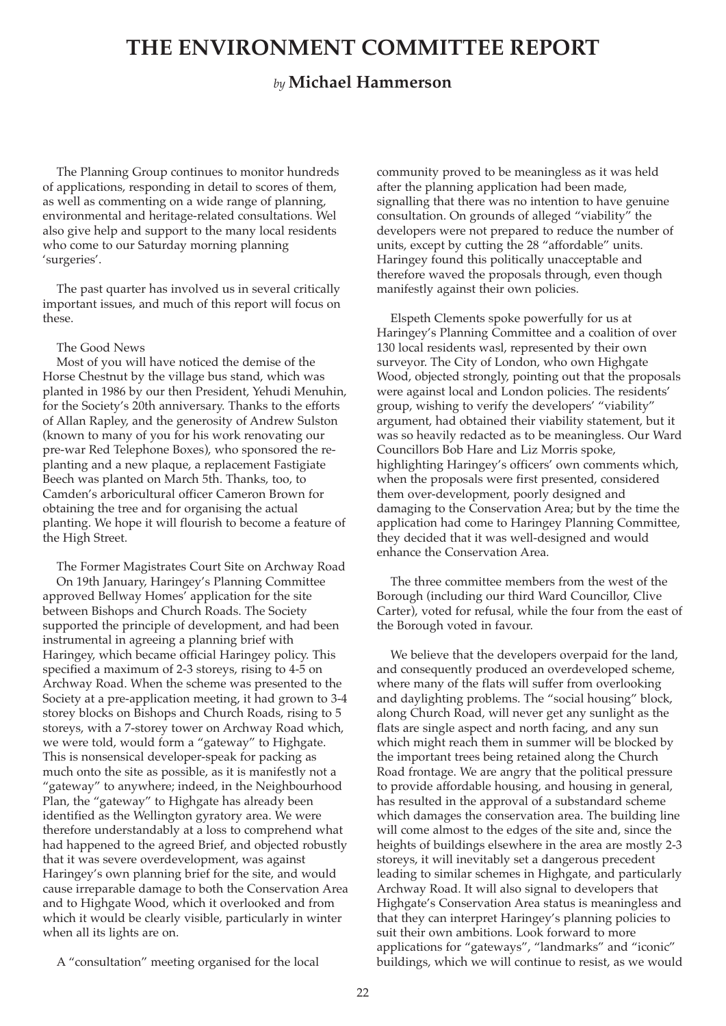# **THE ENVIRONMENT COMMITTEE REPORT**

## *by* **Michael Hammerson**

The Planning Group continues to monitor hundreds of applications, responding in detail to scores of them, as well as commenting on a wide range of planning, environmental and heritage-related consultations. Wel also give help and support to the many local residents who come to our Saturday morning planning 'surgeries'.

The past quarter has involved us in several critically important issues, and much of this report will focus on these.

#### The Good News

Most of you will have noticed the demise of the Horse Chestnut by the village bus stand, which was planted in 1986 by our then President, Yehudi Menuhin, for the Society's 20th anniversary. Thanks to the efforts of Allan Rapley, and the generosity of Andrew Sulston (known to many of you for his work renovating our pre-war Red Telephone Boxes), who sponsored the replanting and a new plaque, a replacement Fastigiate Beech was planted on March 5th. Thanks, too, to Camden's arboricultural officer Cameron Brown for obtaining the tree and for organising the actual planting. We hope it will flourish to become a feature of the High Street.

The Former Magistrates Court Site on Archway Road On 19th January, Haringey's Planning Committee approved Bellway Homes' application for the site between Bishops and Church Roads. The Society supported the principle of development, and had been instrumental in agreeing a planning brief with Haringey, which became official Haringey policy. This specified a maximum of 2-3 storeys, rising to 4-5 on Archway Road. When the scheme was presented to the Society at a pre-application meeting, it had grown to 3-4 storey blocks on Bishops and Church Roads, rising to 5 storeys, with a 7-storey tower on Archway Road which, we were told, would form a "gateway" to Highgate. This is nonsensical developer-speak for packing as much onto the site as possible, as it is manifestly not a "gateway" to anywhere; indeed, in the Neighbourhood Plan, the "gateway" to Highgate has already been identified as the Wellington gyratory area. We were therefore understandably at a loss to comprehend what had happened to the agreed Brief, and objected robustly that it was severe overdevelopment, was against Haringey's own planning brief for the site, and would cause irreparable damage to both the Conservation Area and to Highgate Wood, which it overlooked and from which it would be clearly visible, particularly in winter when all its lights are on.

community proved to be meaningless as it was held after the planning application had been made, signalling that there was no intention to have genuine consultation. On grounds of alleged "viability" the developers were not prepared to reduce the number of units, except by cutting the 28 "affordable" units. Haringey found this politically unacceptable and therefore waved the proposals through, even though manifestly against their own policies.

Elspeth Clements spoke powerfully for us at Haringey's Planning Committee and a coalition of over 130 local residents wasl, represented by their own surveyor. The City of London, who own Highgate Wood, objected strongly, pointing out that the proposals were against local and London policies. The residents' group, wishing to verify the developers' "viability" argument, had obtained their viability statement, but it was so heavily redacted as to be meaningless. Our Ward Councillors Bob Hare and Liz Morris spoke, highlighting Haringey's officers' own comments which, when the proposals were first presented, considered them over-development, poorly designed and damaging to the Conservation Area; but by the time the application had come to Haringey Planning Committee, they decided that it was well-designed and would enhance the Conservation Area.

The three committee members from the west of the Borough (including our third Ward Councillor, Clive Carter), voted for refusal, while the four from the east of the Borough voted in favour.

We believe that the developers overpaid for the land, and consequently produced an overdeveloped scheme, where many of the flats will suffer from overlooking and daylighting problems. The "social housing" block, along Church Road, will never get any sunlight as the flats are single aspect and north facing, and any sun which might reach them in summer will be blocked by the important trees being retained along the Church Road frontage. We are angry that the political pressure to provide affordable housing, and housing in general, has resulted in the approval of a substandard scheme which damages the conservation area. The building line will come almost to the edges of the site and, since the heights of buildings elsewhere in the area are mostly 2-3 storeys, it will inevitably set a dangerous precedent leading to similar schemes in Highgate, and particularly Archway Road. It will also signal to developers that Highgate's Conservation Area status is meaningless and that they can interpret Haringey's planning policies to suit their own ambitions. Look forward to more applications for "gateways", "landmarks" and "iconic" buildings, which we will continue to resist, as we would

A "consultation" meeting organised for the local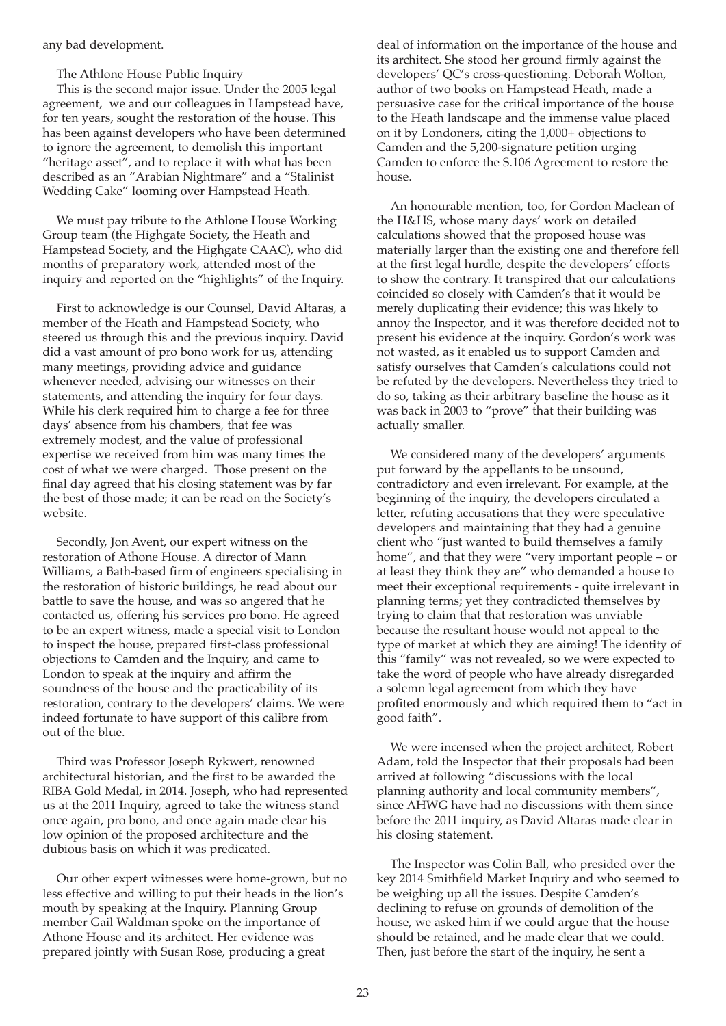any bad development.

The Athlone House Public Inquiry

This is the second major issue. Under the 2005 legal agreement, we and our colleagues in Hampstead have, for ten years, sought the restoration of the house. This has been against developers who have been determined to ignore the agreement, to demolish this important "heritage asset", and to replace it with what has been described as an "Arabian Nightmare" and a "Stalinist Wedding Cake" looming over Hampstead Heath.

We must pay tribute to the Athlone House Working Group team (the Highgate Society, the Heath and Hampstead Society, and the Highgate CAAC), who did months of preparatory work, attended most of the inquiry and reported on the "highlights" of the Inquiry.

First to acknowledge is our Counsel, David Altaras, a member of the Heath and Hampstead Society, who steered us through this and the previous inquiry. David did a vast amount of pro bono work for us, attending many meetings, providing advice and guidance whenever needed, advising our witnesses on their statements, and attending the inquiry for four days. While his clerk required him to charge a fee for three days' absence from his chambers, that fee was extremely modest, and the value of professional expertise we received from him was many times the cost of what we were charged. Those present on the final day agreed that his closing statement was by far the best of those made; it can be read on the Society's website.

Secondly, Jon Avent, our expert witness on the restoration of Athone House. A director of Mann Williams, a Bath-based firm of engineers specialising in the restoration of historic buildings, he read about our battle to save the house, and was so angered that he contacted us, offering his services pro bono. He agreed to be an expert witness, made a special visit to London to inspect the house, prepared first-class professional objections to Camden and the Inquiry, and came to London to speak at the inquiry and affirm the soundness of the house and the practicability of its restoration, contrary to the developers' claims. We were indeed fortunate to have support of this calibre from out of the blue.

Third was Professor Joseph Rykwert, renowned architectural historian, and the first to be awarded the RIBA Gold Medal, in 2014. Joseph, who had represented us at the 2011 Inquiry, agreed to take the witness stand once again, pro bono, and once again made clear his low opinion of the proposed architecture and the dubious basis on which it was predicated.

Our other expert witnesses were home-grown, but no less effective and willing to put their heads in the lion's mouth by speaking at the Inquiry. Planning Group member Gail Waldman spoke on the importance of Athone House and its architect. Her evidence was prepared jointly with Susan Rose, producing a great

deal of information on the importance of the house and its architect. She stood her ground firmly against the developers' QC's cross-questioning. Deborah Wolton, author of two books on Hampstead Heath, made a persuasive case for the critical importance of the house to the Heath landscape and the immense value placed on it by Londoners, citing the 1,000+ objections to Camden and the 5,200-signature petition urging Camden to enforce the S.106 Agreement to restore the house.

An honourable mention, too, for Gordon Maclean of the H&HS, whose many days' work on detailed calculations showed that the proposed house was materially larger than the existing one and therefore fell at the first legal hurdle, despite the developers' efforts to show the contrary. It transpired that our calculations coincided so closely with Camden's that it would be merely duplicating their evidence; this was likely to annoy the Inspector, and it was therefore decided not to present his evidence at the inquiry. Gordon's work was not wasted, as it enabled us to support Camden and satisfy ourselves that Camden's calculations could not be refuted by the developers. Nevertheless they tried to do so, taking as their arbitrary baseline the house as it was back in 2003 to "prove" that their building was actually smaller.

We considered many of the developers' arguments put forward by the appellants to be unsound, contradictory and even irrelevant. For example, at the beginning of the inquiry, the developers circulated a letter, refuting accusations that they were speculative developers and maintaining that they had a genuine client who "just wanted to build themselves a family home", and that they were "very important people – or at least they think they are" who demanded a house to meet their exceptional requirements - quite irrelevant in planning terms; yet they contradicted themselves by trying to claim that that restoration was unviable because the resultant house would not appeal to the type of market at which they are aiming! The identity of this "family" was not revealed, so we were expected to take the word of people who have already disregarded a solemn legal agreement from which they have profited enormously and which required them to "act in good faith".

We were incensed when the project architect, Robert Adam, told the Inspector that their proposals had been arrived at following "discussions with the local planning authority and local community members", since AHWG have had no discussions with them since before the 2011 inquiry, as David Altaras made clear in his closing statement.

The Inspector was Colin Ball, who presided over the key 2014 Smithfield Market Inquiry and who seemed to be weighing up all the issues. Despite Camden's declining to refuse on grounds of demolition of the house, we asked him if we could argue that the house should be retained, and he made clear that we could. Then, just before the start of the inquiry, he sent a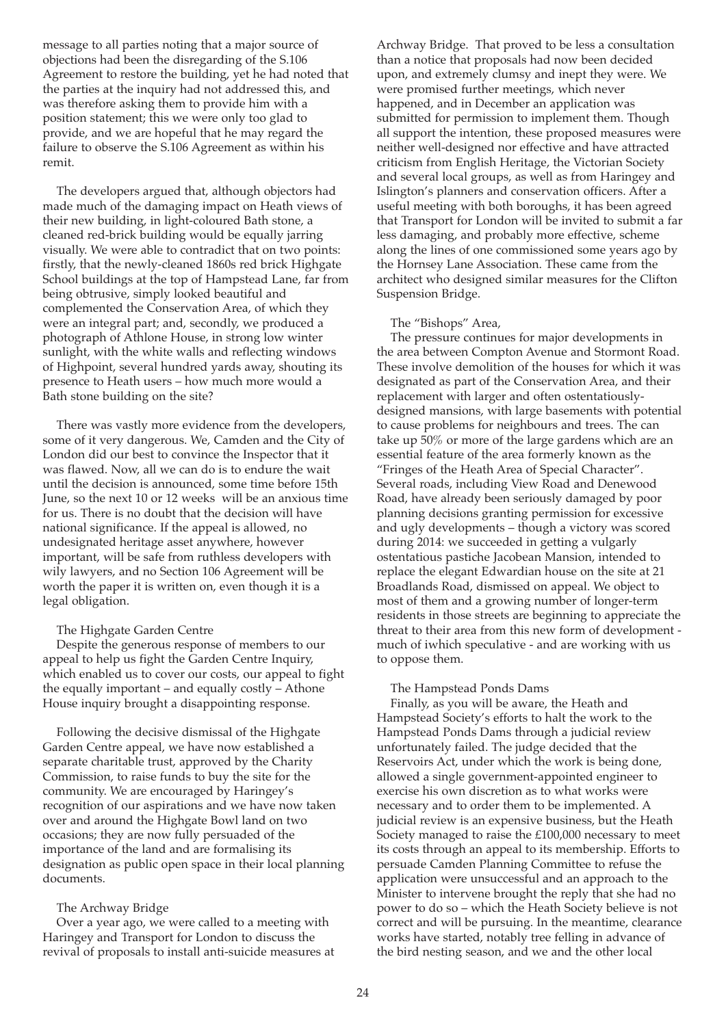message to all parties noting that a major source of objections had been the disregarding of the S.106 Agreement to restore the building, yet he had noted that the parties at the inquiry had not addressed this, and was therefore asking them to provide him with a position statement; this we were only too glad to provide, and we are hopeful that he may regard the failure to observe the S.106 Agreement as within his remit.

The developers argued that, although objectors had made much of the damaging impact on Heath views of their new building, in light-coloured Bath stone, a cleaned red-brick building would be equally jarring visually. We were able to contradict that on two points: firstly, that the newly-cleaned 1860s red brick Highgate School buildings at the top of Hampstead Lane, far from being obtrusive, simply looked beautiful and complemented the Conservation Area, of which they were an integral part; and, secondly, we produced a photograph of Athlone House, in strong low winter sunlight, with the white walls and reflecting windows of Highpoint, several hundred yards away, shouting its presence to Heath users – how much more would a Bath stone building on the site?

There was vastly more evidence from the developers, some of it very dangerous. We, Camden and the City of London did our best to convince the Inspector that it was flawed. Now, all we can do is to endure the wait until the decision is announced, some time before 15th June, so the next 10 or 12 weeks will be an anxious time for us. There is no doubt that the decision will have national significance. If the appeal is allowed, no undesignated heritage asset anywhere, however important, will be safe from ruthless developers with wily lawyers, and no Section 106 Agreement will be worth the paper it is written on, even though it is a legal obligation.

#### The Highgate Garden Centre

Despite the generous response of members to our appeal to help us fight the Garden Centre Inquiry, which enabled us to cover our costs, our appeal to fight the equally important – and equally costly – Athone House inquiry brought a disappointing response.

Following the decisive dismissal of the Highgate Garden Centre appeal, we have now established a separate charitable trust, approved by the Charity Commission, to raise funds to buy the site for the community. We are encouraged by Haringey's recognition of our aspirations and we have now taken over and around the Highgate Bowl land on two occasions; they are now fully persuaded of the importance of the land and are formalising its designation as public open space in their local planning documents.

#### The Archway Bridge

Over a year ago, we were called to a meeting with Haringey and Transport for London to discuss the revival of proposals to install anti-suicide measures at

Archway Bridge. That proved to be less a consultation than a notice that proposals had now been decided upon, and extremely clumsy and inept they were. We were promised further meetings, which never happened, and in December an application was submitted for permission to implement them. Though all support the intention, these proposed measures were neither well-designed nor effective and have attracted criticism from English Heritage, the Victorian Society and several local groups, as well as from Haringey and Islington's planners and conservation officers. After a useful meeting with both boroughs, it has been agreed that Transport for London will be invited to submit a far less damaging, and probably more effective, scheme along the lines of one commissioned some years ago by the Hornsey Lane Association. These came from the architect who designed similar measures for the Clifton Suspension Bridge.

#### The "Bishops" Area,

The pressure continues for major developments in the area between Compton Avenue and Stormont Road. These involve demolition of the houses for which it was designated as part of the Conservation Area, and their replacement with larger and often ostentatiouslydesigned mansions, with large basements with potential to cause problems for neighbours and trees. The can take up 50% or more of the large gardens which are an essential feature of the area formerly known as the "Fringes of the Heath Area of Special Character". Several roads, including View Road and Denewood Road, have already been seriously damaged by poor planning decisions granting permission for excessive and ugly developments – though a victory was scored during 2014: we succeeded in getting a vulgarly ostentatious pastiche Jacobean Mansion, intended to replace the elegant Edwardian house on the site at 21 Broadlands Road, dismissed on appeal. We object to most of them and a growing number of longer-term residents in those streets are beginning to appreciate the threat to their area from this new form of development much of iwhich speculative - and are working with us to oppose them.

#### The Hampstead Ponds Dams

Finally, as you will be aware, the Heath and Hampstead Society's efforts to halt the work to the Hampstead Ponds Dams through a judicial review unfortunately failed. The judge decided that the Reservoirs Act, under which the work is being done, allowed a single government-appointed engineer to exercise his own discretion as to what works were necessary and to order them to be implemented. A judicial review is an expensive business, but the Heath Society managed to raise the £100,000 necessary to meet its costs through an appeal to its membership. Efforts to persuade Camden Planning Committee to refuse the application were unsuccessful and an approach to the Minister to intervene brought the reply that she had no power to do so – which the Heath Society believe is not correct and will be pursuing. In the meantime, clearance works have started, notably tree felling in advance of the bird nesting season, and we and the other local